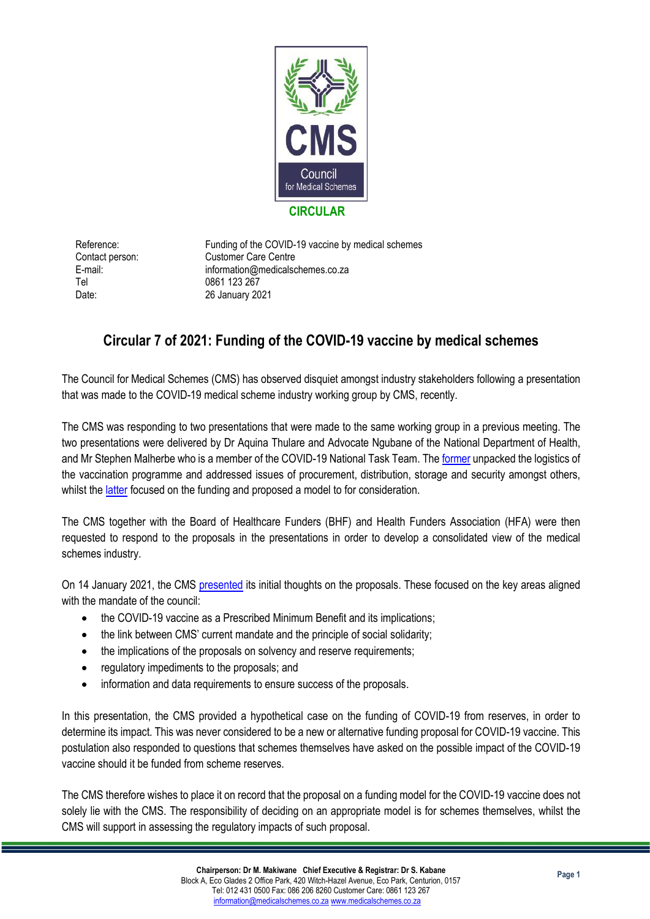

Tel 0861 123 267

Reference: Funding of the COVID-19 vaccine by medical schemes Contact person: Customer Care Centre E-mail: information@medicalschemes.co.za Date: 26 January 2021

## **Circular 7 of 2021: Funding of the COVID-19 vaccine by medical schemes**

The Council for Medical Schemes (CMS) has observed disquiet amongst industry stakeholders following a presentation that was made to the COVID-19 medical scheme industry working group by CMS, recently.

The CMS was responding to two presentations that were made to the same working group in a previous meeting. The two presentations were delivered by Dr Aquina Thulare and Advocate Ngubane of the National Department of Health, and Mr Stephen Malherbe who is a member of the COVID-19 National Task Team. The [former](https://www.medicalschemes.co.za/download/2090/presentations-and-reports/23575/health-presentation-vaccine-rollout_07-january-2021.pptx) unpacked the logistics of the vaccination programme and addressed issues of procurement, distribution, storage and security amongst others, whilst the *latter* focused on the funding and proposed a model to for consideration.

The CMS together with the Board of Healthcare Funders (BHF) and Health Funders Association (HFA) were then requested to respond to the proposals in the presentations in order to develop a consolidated view of the medical schemes industry.

On 14 January 2021, the CMS [presented](https://www.medicalschemes.co.za/download/2090/presentations-and-reports/23573/consolidated-cms-presentation-19-jan-2021.pptx) its initial thoughts on the proposals. These focused on the key areas aligned with the mandate of the council:

- the COVID-19 vaccine as a Prescribed Minimum Benefit and its implications;
- the link between CMS' current mandate and the principle of social solidarity;
- the implications of the proposals on solvency and reserve requirements;
- regulatory impediments to the proposals; and
- information and data requirements to ensure success of the proposals.

In this presentation, the CMS provided a hypothetical case on the funding of COVID-19 from reserves, in order to determine its impact. This was never considered to be a new or alternative funding proposal for COVID-19 vaccine. This postulation also responded to questions that schemes themselves have asked on the possible impact of the COVID-19 vaccine should it be funded from scheme reserves.

The CMS therefore wishes to place it on record that the proposal on a funding model for the COVID-19 vaccine does not solely lie with the CMS. The responsibility of deciding on an appropriate model is for schemes themselves, whilst the CMS will support in assessing the regulatory impacts of such proposal.